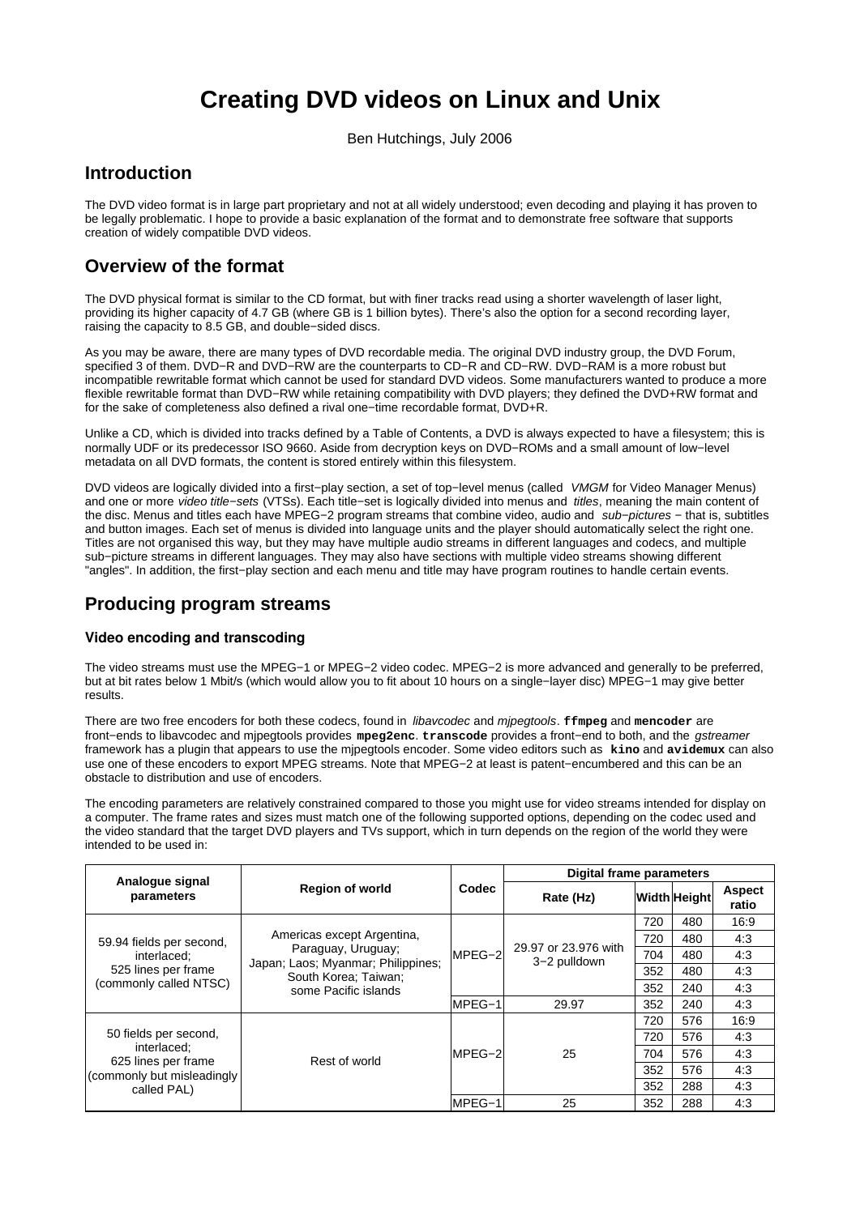# **Creating DVD videos on Linux and Unix**

Ben Hutchings, July 2006

# **Introduction**

The DVD video format is in large part proprietary and not at all widely understood; even decoding and playing it has proven to be legally problematic. I hope to provide a basic explanation of the format and to demonstrate free software that supports creation of widely compatible DVD videos.

# **Overview of the format**

The DVD physical format is similar to the CD format, but with finer tracks read using a shorter wavelength of laser light, providing its higher capacity of 4.7 GB (where GB is 1 billion bytes). There's also the option for a second recording layer, raising the capacity to 8.5 GB, and double−sided discs.

As you may be aware, there are many types of DVD recordable media. The original DVD industry group, the DVD Forum, specified 3 of them. DVD−R and DVD−RW are the counterparts to CD−R and CD−RW. DVD−RAM is a more robust but incompatible rewritable format which cannot be used for standard DVD videos. Some manufacturers wanted to produce a more flexible rewritable format than DVD−RW while retaining compatibility with DVD players; they defined the DVD+RW format and for the sake of completeness also defined a rival one−time recordable format, DVD+R.

Unlike a CD, which is divided into tracks defined by a Table of Contents, a DVD is always expected to have a filesystem; this is normally UDF or its predecessor ISO 9660. Aside from decryption keys on DVD−ROMs and a small amount of low−level metadata on all DVD formats, the content is stored entirely within this filesystem.

DVD videos are logically divided into a first−play section, a set of top−level menus (called VMGM for Video Manager Menus) and one or more video title−sets (VTSs). Each title−set is logically divided into menus and titles, meaning the main content of the disc. Menus and titles each have MPEG−2 program streams that combine video, audio and sub−pictures − that is, subtitles and button images. Each set of menus is divided into language units and the player should automatically select the right one. Titles are not organised this way, but they may have multiple audio streams in different languages and codecs, and multiple sub−picture streams in different languages. They may also have sections with multiple video streams showing different "angles". In addition, the first−play section and each menu and title may have program routines to handle certain events.

# **Producing program streams**

# **Video encoding and transcoding**

The video streams must use the MPEG−1 or MPEG−2 video codec. MPEG−2 is more advanced and generally to be preferred, but at bit rates below 1 Mbit/s (which would allow you to fit about 10 hours on a single−layer disc) MPEG−1 may give better results.

There are two free encoders for both these codecs, found in libavcodec and mjpegtools. **ffmpeg** and **mencoder** are front−ends to libavcodec and mjpegtools provides **mpeg2enc**. **transcode** provides a front−end to both, and the gstreamer framework has a plugin that appears to use the mjpegtools encoder. Some video editors such as **kino** and **avidemux** can also use one of these encoders to export MPEG streams. Note that MPEG−2 at least is patent−encumbered and this can be an obstacle to distribution and use of encoders.

The encoding parameters are relatively constrained compared to those you might use for video streams intended for display on a computer. The frame rates and sizes must match one of the following supported options, depending on the codec used and the video standard that the target DVD players and TVs support, which in turn depends on the region of the world they were intended to be used in:

|                                                                                                           | <b>Region of world</b>                                                                                                                 | Codec    | <b>Digital frame parameters</b>      |     |                     |                        |
|-----------------------------------------------------------------------------------------------------------|----------------------------------------------------------------------------------------------------------------------------------------|----------|--------------------------------------|-----|---------------------|------------------------|
| Analogue signal<br>parameters                                                                             |                                                                                                                                        |          | Rate (Hz)                            |     | <b>Width Height</b> | <b>Aspect</b><br>ratio |
| 59.94 fields per second,<br>interlaced:<br>525 lines per frame<br>(commonly called NTSC)                  | Americas except Argentina,<br>Paraguay, Uruguay;<br>Japan; Laos; Myanmar; Philippines;<br>South Korea; Taiwan;<br>some Pacific islands | $MPEG-2$ | 29.97 or 23.976 with<br>3-2 pulldown | 720 | 480                 | 16:9                   |
|                                                                                                           |                                                                                                                                        |          |                                      | 720 | 480                 | 4:3                    |
|                                                                                                           |                                                                                                                                        |          |                                      | 704 | 480                 | 4:3                    |
|                                                                                                           |                                                                                                                                        |          |                                      | 352 | 480                 | 4:3                    |
|                                                                                                           |                                                                                                                                        |          |                                      | 352 | 240                 | 4:3                    |
|                                                                                                           |                                                                                                                                        | MPEG-1   | 29.97                                | 352 | 240                 | 4:3                    |
| 50 fields per second,<br>interlaced:<br>625 lines per frame<br>(commonly but misleadingly)<br>called PAL) | Rest of world                                                                                                                          | MPEG-2   | 25                                   | 720 | 576                 | 16:9                   |
|                                                                                                           |                                                                                                                                        |          |                                      | 720 | 576                 | 4:3                    |
|                                                                                                           |                                                                                                                                        |          |                                      | 704 | 576                 | 4:3                    |
|                                                                                                           |                                                                                                                                        |          |                                      | 352 | 576                 | 4:3                    |
|                                                                                                           |                                                                                                                                        |          |                                      | 352 | 288                 | 4:3                    |
|                                                                                                           |                                                                                                                                        | MPEG-1   | 25                                   | 352 | 288                 | 4:3                    |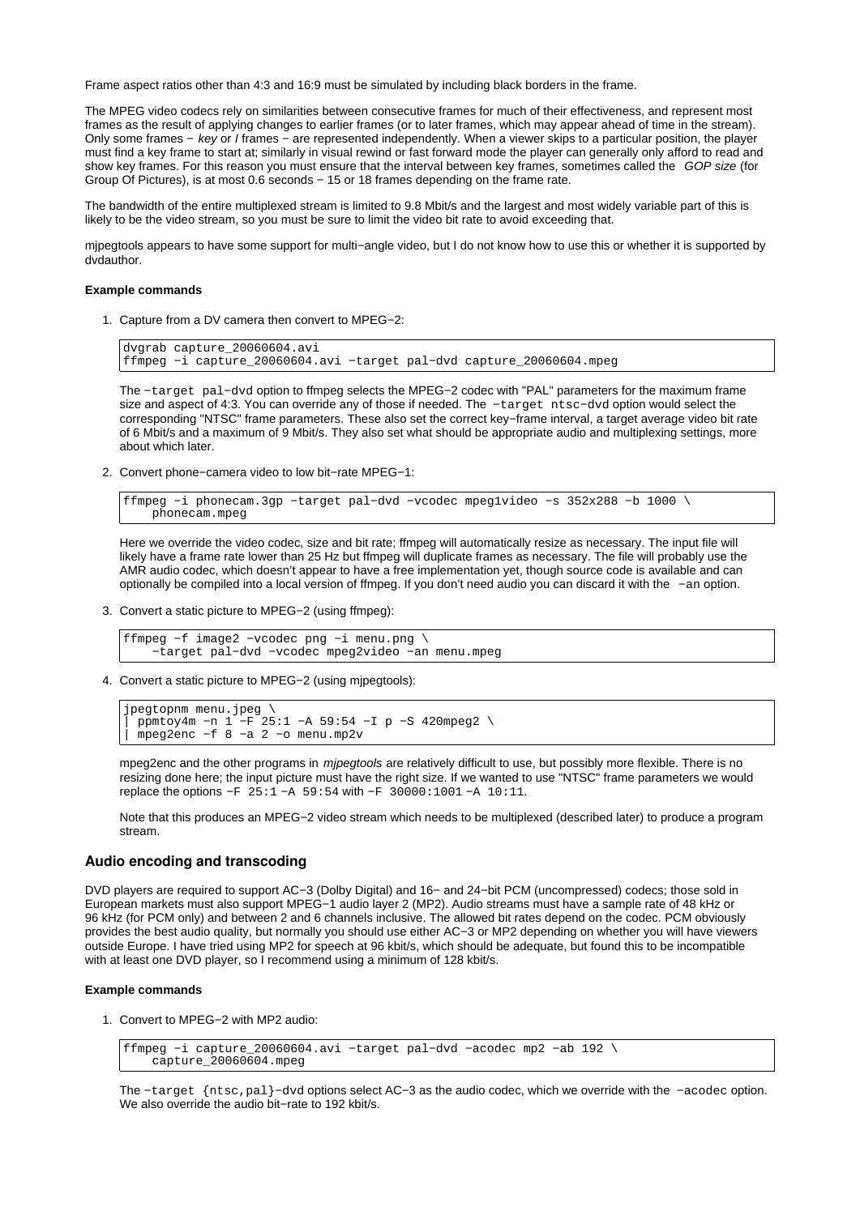Frame aspect ratios other than 4:3 and 16:9 must be simulated by including black borders in the frame.

The MPEG video codecs rely on similarities between consecutive frames for much of their effectiveness, and represent most frames as the result of applying changes to earlier frames (or to later frames, which may appear ahead of time in the stream). Only some frames − key or I frames − are represented independently. When a viewer skips to a particular position, the player must find a key frame to start at; similarly in visual rewind or fast forward mode the player can generally only afford to read and show key frames. For this reason you must ensure that the interval between key frames, sometimes called the GOP size (for Group Of Pictures), is at most 0.6 seconds − 15 or 18 frames depending on the frame rate.

The bandwidth of the entire multiplexed stream is limited to 9.8 Mbit/s and the largest and most widely variable part of this is likely to be the video stream, so you must be sure to limit the video bit rate to avoid exceeding that.

mjpegtools appears to have some support for multi−angle video, but I do not know how to use this or whether it is supported by dvdauthor.

#### **Example commands**

1. Capture from a DV camera then convert to MPEG-2:

```
dvgrab capture_20060604.avi
ffmpeg −i capture_20060604.avi −target pal−dvd capture_20060604.mpeg
```
The −target pal−dvd option to ffmpeg selects the MPEG−2 codec with "PAL" parameters for the maximum frame size and aspect of 4:3. You can override any of those if needed. The −target ntsc−dvd option would select the corresponding "NTSC" frame parameters. These also set the correct key−frame interval, a target average video bit rate of 6 Mbit/s and a maximum of 9 Mbit/s. They also set what should be appropriate audio and multiplexing settings, more about which later.

2. Convert phone–camera video to low bit–rate MPEG–1:

```
ffmpeg −i phonecam.3gp −target pal−dvd −vcodec mpeg1video −s 352x288 −b 1000 \
    phonecam.mpeg
```
Here we override the video codec, size and bit rate; ffmpeg will automatically resize as necessary. The input file will likely have a frame rate lower than 25 Hz but ffmpeg will duplicate frames as necessary. The file will probably use the AMR audio codec, which doesn't appear to have a free implementation yet, though source code is available and can optionally be compiled into a local version of ffmpeg. If you don't need audio you can discard it with the −an option.

3. Convert a static picture to MPEG-2 (using ffmpeg):

```
ffmpeg −f image2 −vcodec png −i menu.png \
     −target pal−dvd −vcodec mpeg2video −an menu.mpeg
```
Convert a static picture to MPEG−2 (using mjpegtools): 4.

```
jpegtopnm menu.jpeg \
| ppmtoy4m −n 1 −F 25:1 −A 59:54 −I p −S 420mpeg2 \
| mpeg2enc −f 8 −a 2 −o menu.mp2v
```
mpeg2enc and the other programs in mipegtools are relatively difficult to use, but possibly more flexible. There is no resizing done here; the input picture must have the right size. If we wanted to use "NTSC" frame parameters we would replace the options −F 25:1 −A 59:54 with −F 30000:1001 −A 10:11.

Note that this produces an MPEG−2 video stream which needs to be multiplexed (described later) to produce a program stream.

## **Audio encoding and transcoding**

DVD players are required to support AC−3 (Dolby Digital) and 16− and 24−bit PCM (uncompressed) codecs; those sold in European markets must also support MPEG−1 audio layer 2 (MP2). Audio streams must have a sample rate of 48 kHz or 96 kHz (for PCM only) and between 2 and 6 channels inclusive. The allowed bit rates depend on the codec. PCM obviously provides the best audio quality, but normally you should use either AC−3 or MP2 depending on whether you will have viewers outside Europe. I have tried using MP2 for speech at 96 kbit/s, which should be adequate, but found this to be incompatible with at least one DVD player, so I recommend using a minimum of 128 kbit/s.

#### **Example commands**

1. Convert to MPEG-2 with MP2 audio:

```
ffmpeg −i capture_20060604.avi −target pal−dvd −acodec mp2 −ab 192 \
     capture_20060604.mpeg
```
The −target {ntsc,pal}−dvd options select AC−3 as the audio codec, which we override with the −acodec option. We also override the audio bit−rate to 192 kbit/s.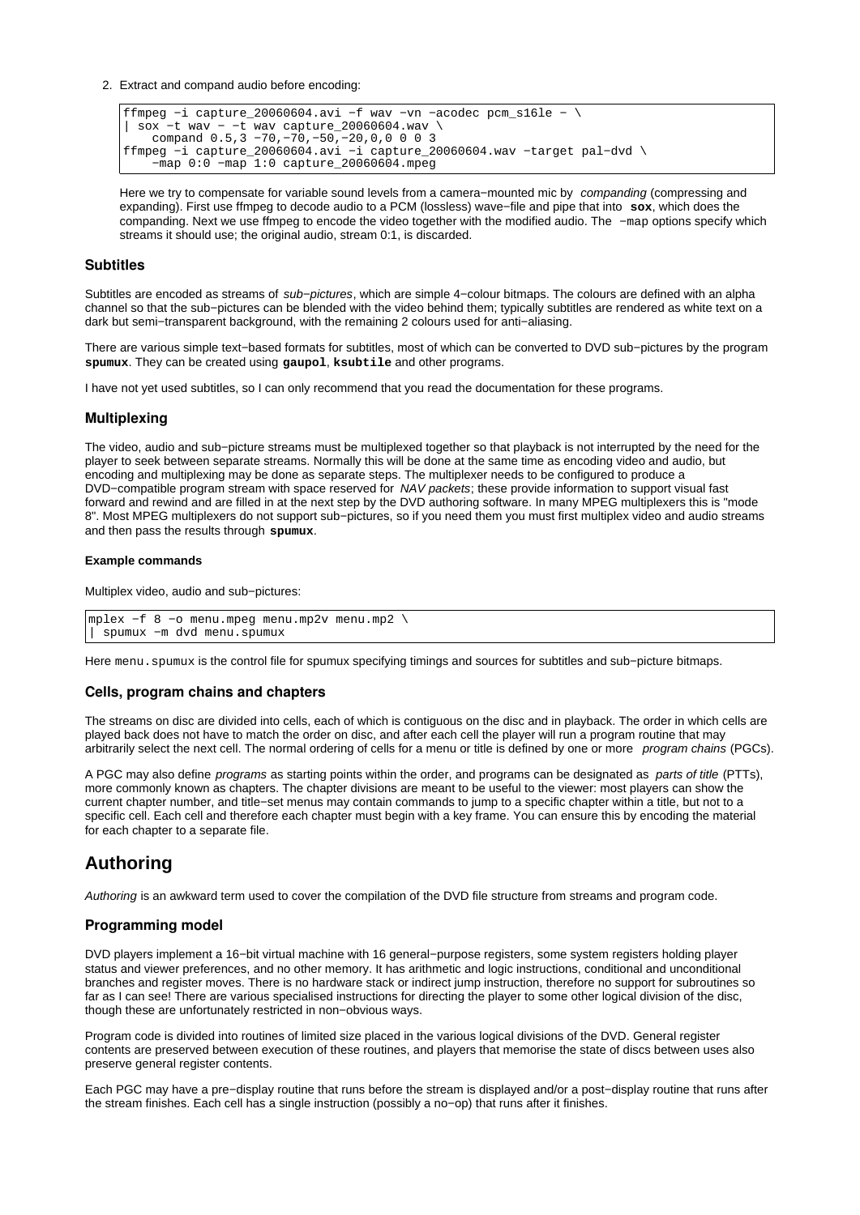Extract and compand audio before encoding: 2.

```
ffmpeg −i capture_20060604.avi −f wav −vn −acodec pcm_s16le − \
| sox −t wav − −t wav capture_20060604.wav \
 compand 0.5,3 −70,−70,−50,−20,0,0 0 0 3
ffmpeg −i capture_20060604.avi −i capture_20060604.wav −target pal−dvd \
    −map 0:0 −map 1:0 capture_20060604.mpeg
```
Here we try to compensate for variable sound levels from a camera–mounted mic by companding (compressing and expanding). First use ffmpeg to decode audio to a PCM (lossless) wave−file and pipe that into **sox**, which does the companding. Next we use ffmpeg to encode the video together with the modified audio. The −map options specify which streams it should use; the original audio, stream 0:1, is discarded.

### **Subtitles**

Subtitles are encoded as streams of sub−pictures, which are simple 4−colour bitmaps. The colours are defined with an alpha channel so that the sub−pictures can be blended with the video behind them; typically subtitles are rendered as white text on a dark but semi−transparent background, with the remaining 2 colours used for anti−aliasing.

There are various simple text−based formats for subtitles, most of which can be converted to DVD sub−pictures by the program **spumux**. They can be created using **gaupol**, **ksubtile** and other programs.

I have not yet used subtitles, so I can only recommend that you read the documentation for these programs.

### **Multiplexing**

The video, audio and sub−picture streams must be multiplexed together so that playback is not interrupted by the need for the player to seek between separate streams. Normally this will be done at the same time as encoding video and audio, but encoding and multiplexing may be done as separate steps. The multiplexer needs to be configured to produce a DVD-compatible program stream with space reserved for NAV packets; these provide information to support visual fast forward and rewind and are filled in at the next step by the DVD authoring software. In many MPEG multiplexers this is "mode 8". Most MPEG multiplexers do not support sub−pictures, so if you need them you must first multiplex video and audio streams and then pass the results through **spumux**.

### **Example commands**

Multiplex video, audio and sub−pictures:

```
mplex −f 8 −o menu.mpeg menu.mp2v menu.mp2 \
 | spumux −m dvd menu.spumux
```
Here menu.spumux is the control file for spumux specifying timings and sources for subtitles and sub–picture bitmaps.

## **Cells, program chains and chapters**

The streams on disc are divided into cells, each of which is contiguous on the disc and in playback. The order in which cells are played back does not have to match the order on disc, and after each cell the player will run a program routine that may arbitrarily select the next cell. The normal ordering of cells for a menu or title is defined by one or more program chains (PGCs).

A PGC may also define *programs* as starting points within the order, and programs can be designated as *parts of title* (PTTs), more commonly known as chapters. The chapter divisions are meant to be useful to the viewer: most players can show the current chapter number, and title−set menus may contain commands to jump to a specific chapter within a title, but not to a specific cell. Each cell and therefore each chapter must begin with a key frame. You can ensure this by encoding the material for each chapter to a separate file.

# **Authoring**

Authoring is an awkward term used to cover the compilation of the DVD file structure from streams and program code.

#### **Programming model**

DVD players implement a 16−bit virtual machine with 16 general−purpose registers, some system registers holding player status and viewer preferences, and no other memory. It has arithmetic and logic instructions, conditional and unconditional branches and register moves. There is no hardware stack or indirect jump instruction, therefore no support for subroutines so far as I can see! There are various specialised instructions for directing the player to some other logical division of the disc, though these are unfortunately restricted in non−obvious ways.

Program code is divided into routines of limited size placed in the various logical divisions of the DVD. General register contents are preserved between execution of these routines, and players that memorise the state of discs between uses also preserve general register contents.

Each PGC may have a pre−display routine that runs before the stream is displayed and/or a post−display routine that runs after the stream finishes. Each cell has a single instruction (possibly a no−op) that runs after it finishes.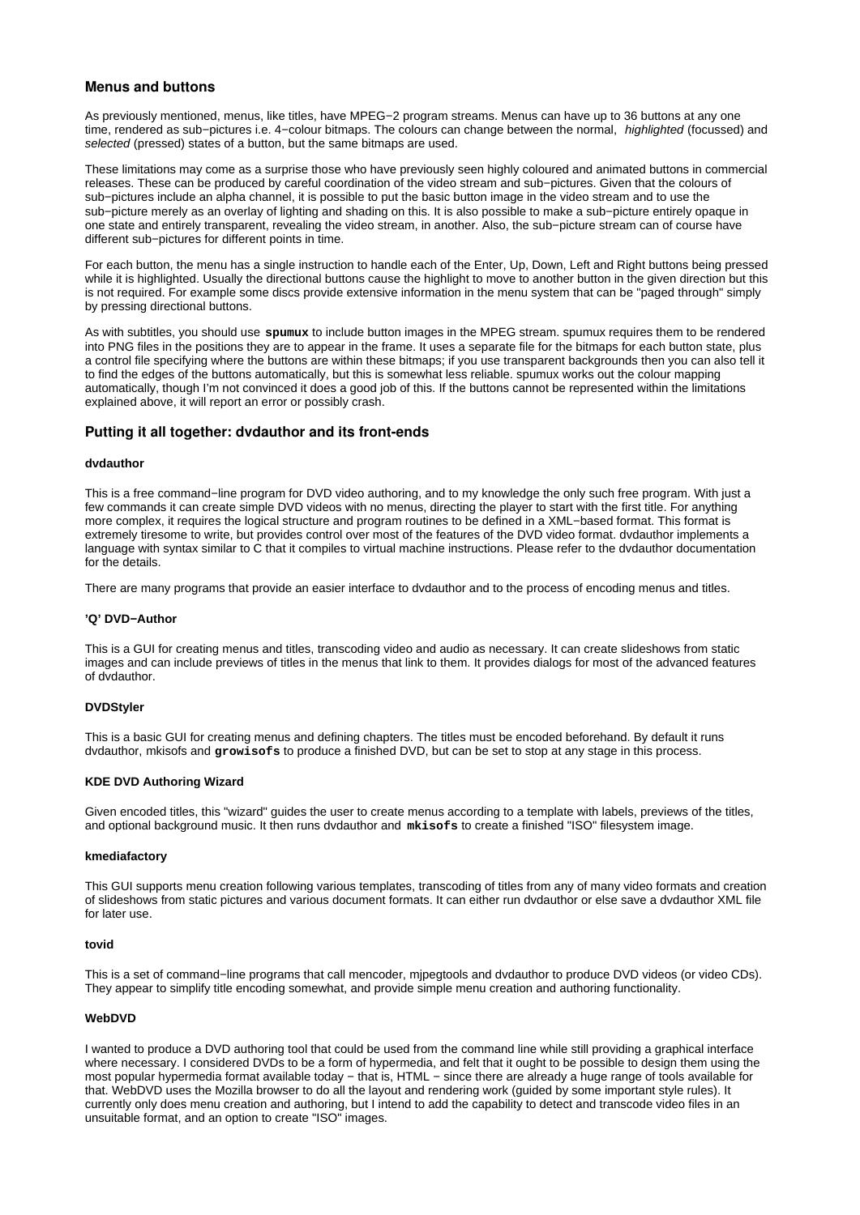# **Menus and buttons**

As previously mentioned, menus, like titles, have MPEG−2 program streams. Menus can have up to 36 buttons at any one time, rendered as sub−pictures i.e. 4−colour bitmaps. The colours can change between the normal, highlighted (focussed) and selected (pressed) states of a button, but the same bitmaps are used.

These limitations may come as a surprise those who have previously seen highly coloured and animated buttons in commercial releases. These can be produced by careful coordination of the video stream and sub−pictures. Given that the colours of sub−pictures include an alpha channel, it is possible to put the basic button image in the video stream and to use the sub−picture merely as an overlay of lighting and shading on this. It is also possible to make a sub−picture entirely opaque in one state and entirely transparent, revealing the video stream, in another. Also, the sub−picture stream can of course have different sub−pictures for different points in time.

For each button, the menu has a single instruction to handle each of the Enter, Up, Down, Left and Right buttons being pressed while it is highlighted. Usually the directional buttons cause the highlight to move to another button in the given direction but this is not required. For example some discs provide extensive information in the menu system that can be "paged through" simply by pressing directional buttons.

As with subtitles, you should use **spumux** to include button images in the MPEG stream. spumux requires them to be rendered into PNG files in the positions they are to appear in the frame. It uses a separate file for the bitmaps for each button state, plus a control file specifying where the buttons are within these bitmaps; if you use transparent backgrounds then you can also tell it to find the edges of the buttons automatically, but this is somewhat less reliable. spumux works out the colour mapping automatically, though I'm not convinced it does a good job of this. If the buttons cannot be represented within the limitations explained above, it will report an error or possibly crash.

# **Putting it all together: dvdauthor and its front-ends**

### **dvdauthor**

This is a free command−line program for DVD video authoring, and to my knowledge the only such free program. With just a few commands it can create simple DVD videos with no menus, directing the player to start with the first title. For anything more complex, it requires the logical structure and program routines to be defined in a XML−based format. This format is extremely tiresome to write, but provides control over most of the features of the DVD video format. dvdauthor implements a language with syntax similar to C that it compiles to virtual machine instructions. Please refer to the dvdauthor documentation for the details.

There are many programs that provide an easier interface to dvdauthor and to the process of encoding menus and titles.

#### **'Q' DVD−Author**

This is a GUI for creating menus and titles, transcoding video and audio as necessary. It can create slideshows from static images and can include previews of titles in the menus that link to them. It provides dialogs for most of the advanced features of dvdauthor.

#### **DVDStyler**

This is a basic GUI for creating menus and defining chapters. The titles must be encoded beforehand. By default it runs dvdauthor, mkisofs and **growisofs** to produce a finished DVD, but can be set to stop at any stage in this process.

### **KDE DVD Authoring Wizard**

Given encoded titles, this "wizard" guides the user to create menus according to a template with labels, previews of the titles, and optional background music. It then runs dvdauthor and **mkisofs** to create a finished "ISO" filesystem image.

#### **kmediafactory**

This GUI supports menu creation following various templates, transcoding of titles from any of many video formats and creation of slideshows from static pictures and various document formats. It can either run dvdauthor or else save a dvdauthor XML file for later use.

### **tovid**

This is a set of command−line programs that call mencoder, mjpegtools and dvdauthor to produce DVD videos (or video CDs). They appear to simplify title encoding somewhat, and provide simple menu creation and authoring functionality.

# **WebDVD**

I wanted to produce a DVD authoring tool that could be used from the command line while still providing a graphical interface where necessary. I considered DVDs to be a form of hypermedia, and felt that it ought to be possible to design them using the most popular hypermedia format available today − that is, HTML − since there are already a huge range of tools available for that. WebDVD uses the Mozilla browser to do all the layout and rendering work (guided by some important style rules). It currently only does menu creation and authoring, but I intend to add the capability to detect and transcode video files in an unsuitable format, and an option to create "ISO" images.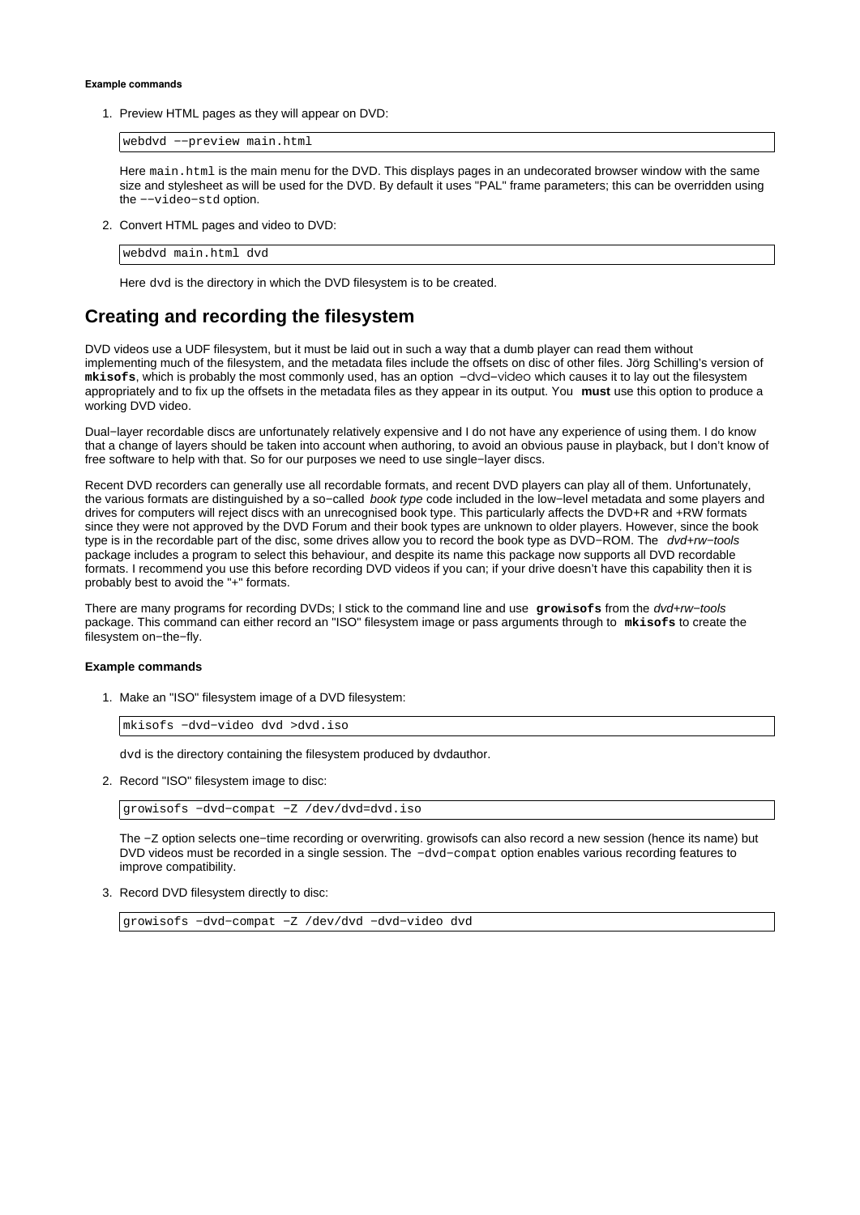#### **Example commands**

1. Preview HTML pages as they will appear on DVD:

webdvd −−preview main.html

Here main.html is the main menu for the DVD. This displays pages in an undecorated browser window with the same size and stylesheet as will be used for the DVD. By default it uses "PAL" frame parameters; this can be overridden using the −−video−std option.

2. Convert HTML pages and video to DVD:

webdvd main.html dvd

Here dvd is the directory in which the DVD filesystem is to be created.

# **Creating and recording the filesystem**

DVD videos use a UDF filesystem, but it must be laid out in such a way that a dumb player can read them without implementing much of the filesystem, and the metadata files include the offsets on disc of other files. Jörg Schilling's version of **mkisofs**, which is probably the most commonly used, has an option −dvd−video which causes it to lay out the filesystem appropriately and to fix up the offsets in the metadata files as they appear in its output. You **must** use this option to produce a working DVD video.

Dual−layer recordable discs are unfortunately relatively expensive and I do not have any experience of using them. I do know that a change of layers should be taken into account when authoring, to avoid an obvious pause in playback, but I don't know of free software to help with that. So for our purposes we need to use single−layer discs.

Recent DVD recorders can generally use all recordable formats, and recent DVD players can play all of them. Unfortunately, the various formats are distinguished by a so−called book type code included in the low−level metadata and some players and drives for computers will reject discs with an unrecognised book type. This particularly affects the DVD+R and +RW formats since they were not approved by the DVD Forum and their book types are unknown to older players. However, since the book type is in the recordable part of the disc, some drives allow you to record the book type as DVD−ROM. The dvd+rw−tools package includes a program to select this behaviour, and despite its name this package now supports all DVD recordable formats. I recommend you use this before recording DVD videos if you can; if your drive doesn't have this capability then it is probably best to avoid the "+" formats.

There are many programs for recording DVDs; I stick to the command line and use **growisofs** from the dvd+rw−tools package. This command can either record an "ISO" filesystem image or pass arguments through to **mkisofs** to create the filesystem on−the−fly.

#### **Example commands**

1. Make an "ISO" filesystem image of a DVD filesystem:

mkisofs −dvd−video dvd >dvd.iso

dvd is the directory containing the filesystem produced by dvdauthor.

2. Record "ISO" filesystem image to disc:

growisofs −dvd−compat −Z /dev/dvd=dvd.iso

The −Z option selects one−time recording or overwriting. growisofs can also record a new session (hence its name) but DVD videos must be recorded in a single session. The -dvd-compat option enables various recording features to improve compatibility.

3. Record DVD filesystem directly to disc:

growisofs −dvd−compat −Z /dev/dvd −dvd−video dvd